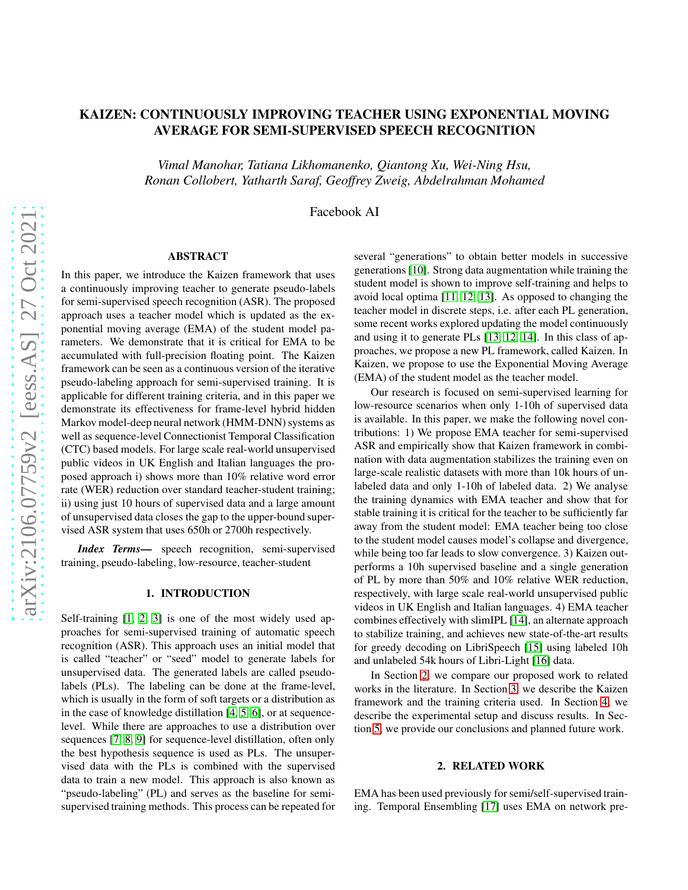# KAIZEN: CONTINUOUSLY IMPROVING TEACHER USING EXPONENTIAL MOVING AVERAGE FOR SEMI-SUPERVISED SPEECH RECOGNITION

*Vimal Manohar, Tatiana Likhomanenko, Qiantong Xu, Wei-Ning Hsu, Ronan Collobert, Yatharth Saraf, Geoffrey Zweig, Abdelrahman Mohamed*

Facebook AI

# ABSTRACT

In this paper, we introduce the Kaizen framework that uses a continuously improving teacher to generate pseudo-labels for semi-supervised speech recognition (ASR). The proposed approach uses a teacher model which is updated as the exponential moving average (EMA) of the student model parameters. We demonstrate that it is critical for EMA to be accumulated with full-precision floating point. The Kaizen framework can be seen as a continuous version of the iterative pseudo-labeling approach for semi-supervised training. It is applicable for different training criteria, and in this paper we demonstrate its effectiveness for frame-level hybrid hidden Markov model-deep neural network (HMM-DNN) systems as well as sequence-level Connectionist Temporal Classification (CTC) based models. For large scale real-world unsupervised public videos in UK English and Italian languages the proposed approach i) shows more than 10% relative word error rate (WER) reduction over standard teacher-student training; ii) using just 10 hours of supervised data and a large amount of unsupervised data closes the gap to the upper-bound supervised ASR system that uses 650h or 2700h respectively.

*Index Terms*— speech recognition, semi-supervised training, pseudo-labeling, low-resource, teacher-student

# 1. INTRODUCTION

Self-training [\[1,](#page-5-0) [2,](#page-6-0) [3\]](#page-6-1) is one of the most widely used approaches for semi-supervised training of automatic speech recognition (ASR). This approach uses an initial model that is called "teacher" or "seed" model to generate labels for unsupervised data. The generated labels are called pseudolabels (PLs). The labeling can be done at the frame-level, which is usually in the form of soft targets or a distribution as in the case of knowledge distillation [\[4,](#page-6-2) [5,](#page-6-3) [6\]](#page-6-4), or at sequencelevel. While there are approaches to use a distribution over sequences [\[7,](#page-6-5) [8,](#page-6-6) [9\]](#page-6-7) for sequence-level distillation, often only the best hypothesis sequence is used as PLs. The unsupervised data with the PLs is combined with the supervised data to train a new model. This approach is also known as "pseudo-labeling" (PL) and serves as the baseline for semisupervised training methods. This process can be repeated for several "generations" to obtain better models in successive generations [\[10\]](#page-6-8). Strong data augmentation while training the student model is shown to improve self-training and helps to avoid local optima [\[11,](#page-6-9) [12,](#page-6-10) [13\]](#page-6-11). As opposed to changing the teacher model in discrete steps, i.e. after each PL generation, some recent works explored updating the model continuously and using it to generate PLs [\[13,](#page-6-11) [12,](#page-6-10) [14\]](#page-6-12). In this class of approaches, we propose a new PL framework, called Kaizen. In Kaizen, we propose to use the Exponential Moving Average (EMA) of the student model as the teacher model.

Our research is focused on semi-supervised learning for low-resource scenarios when only 1-10h of supervised data is available. In this paper, we make the following novel contributions: 1) We propose EMA teacher for semi-supervised ASR and empirically show that Kaizen framework in combination with data augmentation stabilizes the training even on large-scale realistic datasets with more than 10k hours of unlabeled data and only 1-10h of labeled data. 2) We analyse the training dynamics with EMA teacher and show that for stable training it is critical for the teacher to be sufficiently far away from the student model: EMA teacher being too close to the student model causes model's collapse and divergence, while being too far leads to slow convergence. 3) Kaizen outperforms a 10h supervised baseline and a single generation of PL by more than 50% and 10% relative WER reduction, respectively, with large scale real-world unsupervised public videos in UK English and Italian languages. 4) EMA teacher combines effectively with slimIPL [\[14\]](#page-6-12), an alternate approach to stabilize training, and achieves new state-of-the-art results for greedy decoding on LibriSpeech [\[15\]](#page-6-13) using labeled 10h and unlabeled 54k hours of Libri-Light [\[16\]](#page-6-14) data.

In Section [2,](#page-0-0) we compare our proposed work to related works in the literature. In Section [3,](#page-1-0) we describe the Kaizen framework and the training criteria used. In Section [4,](#page-2-0) we describe the experimental setup and discuss results. In Section [5,](#page-5-1) we provide our conclusions and planned future work.

# 2. RELATED WORK

<span id="page-0-0"></span>EMA has been used previously for semi/self-supervised training. Temporal Ensembling [\[17\]](#page-6-15) uses EMA on network pre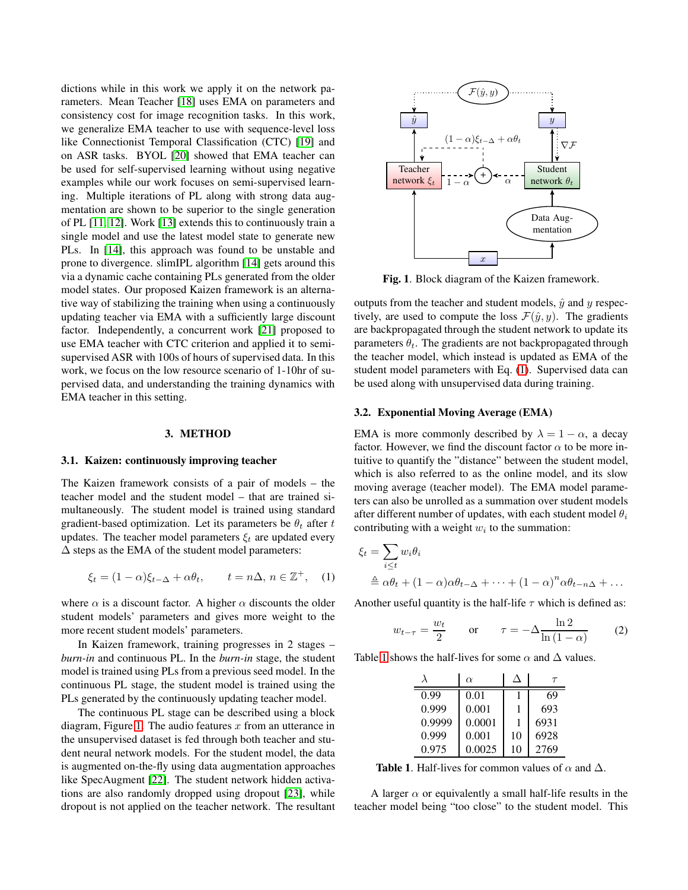dictions while in this work we apply it on the network parameters. Mean Teacher [\[18\]](#page-6-16) uses EMA on parameters and consistency cost for image recognition tasks. In this work, we generalize EMA teacher to use with sequence-level loss like Connectionist Temporal Classification (CTC) [\[19\]](#page-6-17) and on ASR tasks. BYOL [\[20\]](#page-6-18) showed that EMA teacher can be used for self-supervised learning without using negative examples while our work focuses on semi-supervised learning. Multiple iterations of PL along with strong data augmentation are shown to be superior to the single generation of PL [\[11,](#page-6-9) [12\]](#page-6-10). Work [\[13\]](#page-6-11) extends this to continuously train a single model and use the latest model state to generate new PLs. In [\[14\]](#page-6-12), this approach was found to be unstable and prone to divergence. slimIPL algorithm [\[14\]](#page-6-12) gets around this via a dynamic cache containing PLs generated from the older model states. Our proposed Kaizen framework is an alternative way of stabilizing the training when using a continuously updating teacher via EMA with a sufficiently large discount factor. Independently, a concurrent work [\[21\]](#page-6-19) proposed to use EMA teacher with CTC criterion and applied it to semisupervised ASR with 100s of hours of supervised data. In this work, we focus on the low resource scenario of 1-10hr of supervised data, and understanding the training dynamics with EMA teacher in this setting.

# 3. METHOD

#### <span id="page-1-0"></span>3.1. Kaizen: continuously improving teacher

The Kaizen framework consists of a pair of models – the teacher model and the student model – that are trained simultaneously. The student model is trained using standard gradient-based optimization. Let its parameters be  $\theta_t$  after t updates. The teacher model parameters  $\xi_t$  are updated every  $\Delta$  steps as the EMA of the student model parameters:

<span id="page-1-2"></span>
$$
\xi_t = (1 - \alpha)\xi_{t-\Delta} + \alpha\theta_t, \qquad t = n\Delta, n \in \mathbb{Z}^+, \quad (1)
$$

where  $\alpha$  is a discount factor. A higher  $\alpha$  discounts the older student models' parameters and gives more weight to the more recent student models' parameters.

In Kaizen framework, training progresses in 2 stages – *burn-in* and continuous PL. In the *burn-in* stage, the student model is trained using PLs from a previous seed model. In the continuous PL stage, the student model is trained using the PLs generated by the continuously updating teacher model.

The continuous PL stage can be described using a block diagram, Figure [1.](#page-1-1) The audio features  $x$  from an utterance in the unsupervised dataset is fed through both teacher and student neural network models. For the student model, the data is augmented on-the-fly using data augmentation approaches like SpecAugment [\[22\]](#page-6-20). The student network hidden activations are also randomly dropped using dropout [\[23\]](#page-6-21), while dropout is not applied on the teacher network. The resultant



<span id="page-1-1"></span>Fig. 1. Block diagram of the Kaizen framework.

outputs from the teacher and student models,  $\hat{y}$  and y respectively, are used to compute the loss  $\mathcal{F}(\hat{y}, y)$ . The gradients are backpropagated through the student network to update its parameters  $\theta_t$ . The gradients are not backpropagated through the teacher model, which instead is updated as EMA of the student model parameters with Eq. [\(1\)](#page-1-2). Supervised data can be used along with unsupervised data during training.

### 3.2. Exponential Moving Average (EMA)

EMA is more commonly described by  $\lambda = 1 - \alpha$ , a decay factor. However, we find the discount factor  $\alpha$  to be more intuitive to quantify the "distance" between the student model, which is also referred to as the online model, and its slow moving average (teacher model). The EMA model parameters can also be unrolled as a summation over student models after different number of updates, with each student model  $\theta_i$ contributing with a weight  $w_i$  to the summation:

$$
\xi_t = \sum_{i \le t} w_i \theta_i
$$
  
\n
$$
\triangleq \alpha \theta_t + (1 - \alpha) \alpha \theta_{t-\Delta} + \dots + (1 - \alpha)^n \alpha \theta_{t-n\Delta} + \dots
$$

Another useful quantity is the half-life  $\tau$  which is defined as:

<span id="page-1-4"></span>
$$
w_{t-\tau} = \frac{w_t}{2} \qquad \text{or} \qquad \tau = -\Delta \frac{\ln 2}{\ln \left(1 - \alpha\right)} \tag{2}
$$

Table [1](#page-1-3) shows the half-lives for some  $\alpha$  and  $\Delta$  values.

|        | $\alpha$ |    |      |
|--------|----------|----|------|
| 0.99   | 0.01     |    | 69   |
| 0.999  | 0.001    |    | 693  |
| 0.9999 | 0.0001   |    | 6931 |
| 0.999  | 0.001    | 10 | 6928 |
| 0.975  | 0.0025   | 10 | 2769 |

<span id="page-1-3"></span>**Table 1.** Half-lives for common values of  $\alpha$  and  $\Delta$ .

A larger  $\alpha$  or equivalently a small half-life results in the teacher model being "too close" to the student model. This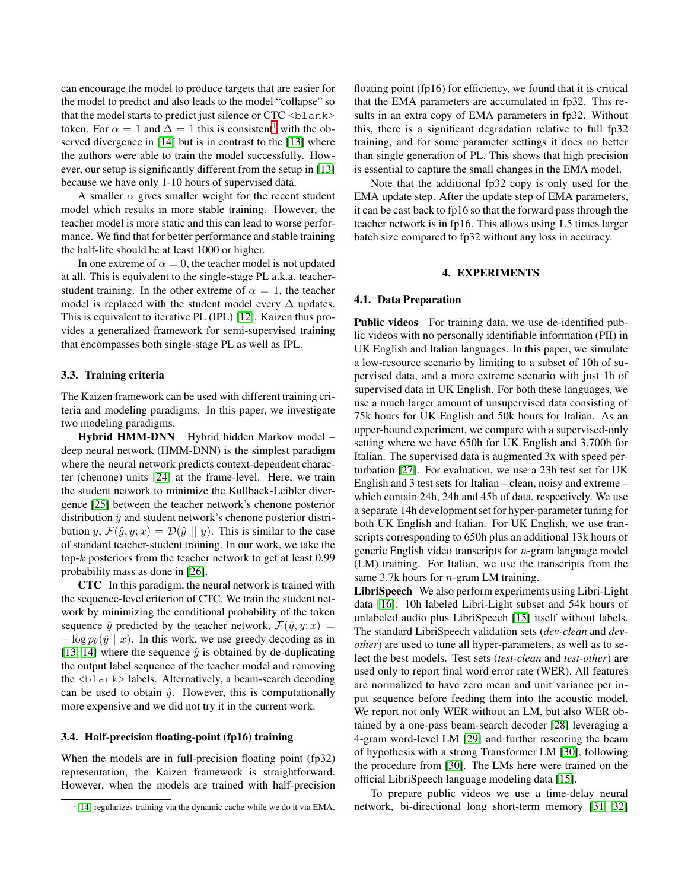can encourage the model to produce targets that are easier for the model to predict and also leads to the model "collapse" so that the model starts to predict just silence or  $CTC **blank**$ token. For  $\alpha = 1$  $\alpha = 1$  and  $\Delta = 1$  this is consistent<sup>1</sup> with the observed divergence in [\[14\]](#page-6-12) but is in contrast to the [\[13\]](#page-6-11) where the authors were able to train the model successfully. However, our setup is significantly different from the setup in [\[13\]](#page-6-11) because we have only 1-10 hours of supervised data.

A smaller  $\alpha$  gives smaller weight for the recent student model which results in more stable training. However, the teacher model is more static and this can lead to worse performance. We find that for better performance and stable training the half-life should be at least 1000 or higher.

In one extreme of  $\alpha = 0$ , the teacher model is not updated at all. This is equivalent to the single-stage PL a.k.a. teacherstudent training. In the other extreme of  $\alpha = 1$ , the teacher model is replaced with the student model every  $\Delta$  updates. This is equivalent to iterative PL (IPL) [\[12\]](#page-6-10). Kaizen thus provides a generalized framework for semi-supervised training that encompasses both single-stage PL as well as IPL.

# 3.3. Training criteria

The Kaizen framework can be used with different training criteria and modeling paradigms. In this paper, we investigate two modeling paradigms.

Hybrid HMM-DNN Hybrid hidden Markov model deep neural network (HMM-DNN) is the simplest paradigm where the neural network predicts context-dependent character (chenone) units [\[24\]](#page-6-22) at the frame-level. Here, we train the student network to minimize the Kullback-Leibler divergence [\[25\]](#page-6-23) between the teacher network's chenone posterior distribution  $\hat{y}$  and student network's chenone posterior distribution y,  $\mathcal{F}(\hat{y}, y; x) = \mathcal{D}(\hat{y} \parallel y)$ . This is similar to the case of standard teacher-student training. In our work, we take the top- $k$  posteriors from the teacher network to get at least  $0.99$ probability mass as done in [\[26\]](#page-7-0).

CTC In this paradigm, the neural network is trained with the sequence-level criterion of CTC. We train the student network by minimizing the conditional probability of the token sequence  $\hat{y}$  predicted by the teacher network,  $\mathcal{F}(\hat{y}, y; x) =$  $-\log p_{\theta}(\hat{y} | x)$ . In this work, we use greedy decoding as in [\[13,](#page-6-11) [14\]](#page-6-12) where the sequence  $\hat{y}$  is obtained by de-duplicating the output label sequence of the teacher model and removing the <blank> labels. Alternatively, a beam-search decoding can be used to obtain  $\hat{y}$ . However, this is computationally more expensive and we did not try it in the current work.

#### 3.4. Half-precision floating-point (fp16) training

When the models are in full-precision floating point (fp32) representation, the Kaizen framework is straightforward. However, when the models are trained with half-precision floating point (fp16) for efficiency, we found that it is critical that the EMA parameters are accumulated in fp32. This results in an extra copy of EMA parameters in fp32. Without this, there is a significant degradation relative to full fp32 training, and for some parameter settings it does no better than single generation of PL. This shows that high precision is essential to capture the small changes in the EMA model.

Note that the additional fp32 copy is only used for the EMA update step. After the update step of EMA parameters, it can be cast back to fp16 so that the forward pass through the teacher network is in fp16. This allows using 1.5 times larger batch size compared to fp32 without any loss in accuracy.

#### 4. EXPERIMENTS

# <span id="page-2-0"></span>4.1. Data Preparation

Public videos For training data, we use de-identified public videos with no personally identifiable information (PII) in UK English and Italian languages. In this paper, we simulate a low-resource scenario by limiting to a subset of 10h of supervised data, and a more extreme scenario with just 1h of supervised data in UK English. For both these languages, we use a much larger amount of unsupervised data consisting of 75k hours for UK English and 50k hours for Italian. As an upper-bound experiment, we compare with a supervised-only setting where we have 650h for UK English and 3,700h for Italian. The supervised data is augmented 3x with speed perturbation [\[27\]](#page-7-1). For evaluation, we use a 23h test set for UK English and 3 test sets for Italian – clean, noisy and extreme – which contain 24h, 24h and 45h of data, respectively. We use a separate 14h development set for hyper-parametertuning for both UK English and Italian. For UK English, we use transcripts corresponding to 650h plus an additional 13k hours of generic English video transcripts for n-gram language model (LM) training. For Italian, we use the transcripts from the same 3.7k hours for  $n$ -gram LM training.

LibriSpeech We also perform experiments using Libri-Light data [\[16\]](#page-6-14): 10h labeled Libri-Light subset and 54k hours of unlabeled audio plus LibriSpeech [\[15\]](#page-6-13) itself without labels. The standard LibriSpeech validation sets (*dev-clean* and *devother*) are used to tune all hyper-parameters, as well as to select the best models. Test sets (*test-clean* and *test-other*) are used only to report final word error rate (WER). All features are normalized to have zero mean and unit variance per input sequence before feeding them into the acoustic model. We report not only WER without an LM, but also WER obtained by a one-pass beam-search decoder [\[28\]](#page-7-2) leveraging a 4-gram word-level LM [\[29\]](#page-7-3) and further rescoring the beam of hypothesis with a strong Transformer LM [\[30\]](#page-7-4), following the procedure from [\[30\]](#page-7-4). The LMs here were trained on the official LibriSpeech language modeling data [\[15\]](#page-6-13).

To prepare public videos we use a time-delay neural network, bi-directional long short-term memory [\[31,](#page-7-5) [32\]](#page-7-6)

<span id="page-2-1"></span><sup>&</sup>lt;sup>1</sup>[\[14\]](#page-6-12) regularizes training via the dynamic cache while we do it via EMA.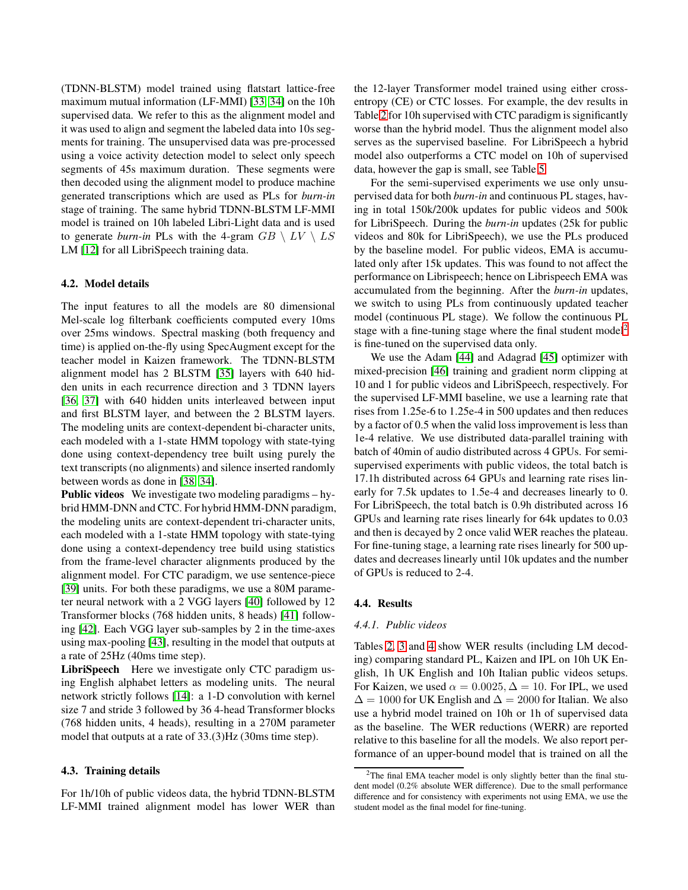(TDNN-BLSTM) model trained using flatstart lattice-free maximum mutual information (LF-MMI) [\[33,](#page-7-7) [34\]](#page-7-8) on the 10h supervised data. We refer to this as the alignment model and it was used to align and segment the labeled data into 10s segments for training. The unsupervised data was pre-processed using a voice activity detection model to select only speech segments of 45s maximum duration. These segments were then decoded using the alignment model to produce machine generated transcriptions which are used as PLs for *burn-in* stage of training. The same hybrid TDNN-BLSTM LF-MMI model is trained on 10h labeled Libri-Light data and is used to generate *burn-in* PLs with the 4-gram  $GB \setminus LV \setminus LS$ LM [\[12\]](#page-6-10) for all LibriSpeech training data.

#### 4.2. Model details

The input features to all the models are 80 dimensional Mel-scale log filterbank coefficients computed every 10ms over 25ms windows. Spectral masking (both frequency and time) is applied on-the-fly using SpecAugment except for the teacher model in Kaizen framework. The TDNN-BLSTM alignment model has 2 BLSTM [\[35\]](#page-7-9) layers with 640 hidden units in each recurrence direction and 3 TDNN layers [\[36,](#page-7-10) [37\]](#page-7-11) with 640 hidden units interleaved between input and first BLSTM layer, and between the 2 BLSTM layers. The modeling units are context-dependent bi-character units, each modeled with a 1-state HMM topology with state-tying done using context-dependency tree built using purely the text transcripts (no alignments) and silence inserted randomly between words as done in [\[38,](#page-7-12) [34\]](#page-7-8).

Public videos We investigate two modeling paradigms – hybrid HMM-DNN and CTC. For hybrid HMM-DNN paradigm, the modeling units are context-dependent tri-character units, each modeled with a 1-state HMM topology with state-tying done using a context-dependency tree build using statistics from the frame-level character alignments produced by the alignment model. For CTC paradigm, we use sentence-piece [\[39\]](#page-7-13) units. For both these paradigms, we use a 80M parameter neural network with a 2 VGG layers [\[40\]](#page-7-14) followed by 12 Transformer blocks (768 hidden units, 8 heads) [\[41\]](#page-7-15) following [\[42\]](#page-7-16). Each VGG layer sub-samples by 2 in the time-axes using max-pooling [\[43\]](#page-7-17), resulting in the model that outputs at a rate of 25Hz (40ms time step).

LibriSpeech Here we investigate only CTC paradigm using English alphabet letters as modeling units. The neural network strictly follows [\[14\]](#page-6-12): a 1-D convolution with kernel size 7 and stride 3 followed by 36 4-head Transformer blocks (768 hidden units, 4 heads), resulting in a 270M parameter model that outputs at a rate of 33.(3)Hz (30ms time step).

# 4.3. Training details

For 1h/10h of public videos data, the hybrid TDNN-BLSTM LF-MMI trained alignment model has lower WER than the 12-layer Transformer model trained using either crossentropy (CE) or CTC losses. For example, the dev results in Table [2](#page-4-0) for 10h supervised with CTC paradigm is significantly worse than the hybrid model. Thus the alignment model also serves as the supervised baseline. For LibriSpeech a hybrid model also outperforms a CTC model on 10h of supervised data, however the gap is small, see Table [5.](#page-4-1)

For the semi-supervised experiments we use only unsupervised data for both *burn-in* and continuous PL stages, having in total 150k/200k updates for public videos and 500k for LibriSpeech. During the *burn-in* updates (25k for public videos and 80k for LibriSpeech), we use the PLs produced by the baseline model. For public videos, EMA is accumulated only after 15k updates. This was found to not affect the performance on Librispeech; hence on Librispeech EMA was accumulated from the beginning. After the *burn-in* updates, we switch to using PLs from continuously updated teacher model (continuous PL stage). We follow the continuous PL stage with a fine-tuning stage where the final student model<sup>[2](#page-3-0)</sup> is fine-tuned on the supervised data only.

We use the Adam [\[44\]](#page-7-18) and Adagrad [\[45\]](#page-7-19) optimizer with mixed-precision [\[46\]](#page-7-20) training and gradient norm clipping at 10 and 1 for public videos and LibriSpeech, respectively. For the supervised LF-MMI baseline, we use a learning rate that rises from 1.25e-6 to 1.25e-4 in 500 updates and then reduces by a factor of 0.5 when the valid loss improvement is less than 1e-4 relative. We use distributed data-parallel training with batch of 40min of audio distributed across 4 GPUs. For semisupervised experiments with public videos, the total batch is 17.1h distributed across 64 GPUs and learning rate rises linearly for 7.5k updates to 1.5e-4 and decreases linearly to 0. For LibriSpeech, the total batch is 0.9h distributed across 16 GPUs and learning rate rises linearly for 64k updates to 0.03 and then is decayed by 2 once valid WER reaches the plateau. For fine-tuning stage, a learning rate rises linearly for 500 updates and decreases linearly until 10k updates and the number of GPUs is reduced to 2-4.

#### 4.4. Results

#### *4.4.1. Public videos*

Tables [2,](#page-4-0) [3](#page-4-2) and [4](#page-4-3) show WER results (including LM decoding) comparing standard PL, Kaizen and IPL on 10h UK English, 1h UK English and 10h Italian public videos setups. For Kaizen, we used  $\alpha = 0.0025, \Delta = 10$ . For IPL, we used  $\Delta = 1000$  for UK English and  $\Delta = 2000$  for Italian. We also use a hybrid model trained on 10h or 1h of supervised data as the baseline. The WER reductions (WERR) are reported relative to this baseline for all the models. We also report performance of an upper-bound model that is trained on all the

<span id="page-3-0"></span><sup>&</sup>lt;sup>2</sup>The final EMA teacher model is only slightly better than the final student model (0.2% absolute WER difference). Due to the small performance difference and for consistency with experiments not using EMA, we use the student model as the final model for fine-tuning.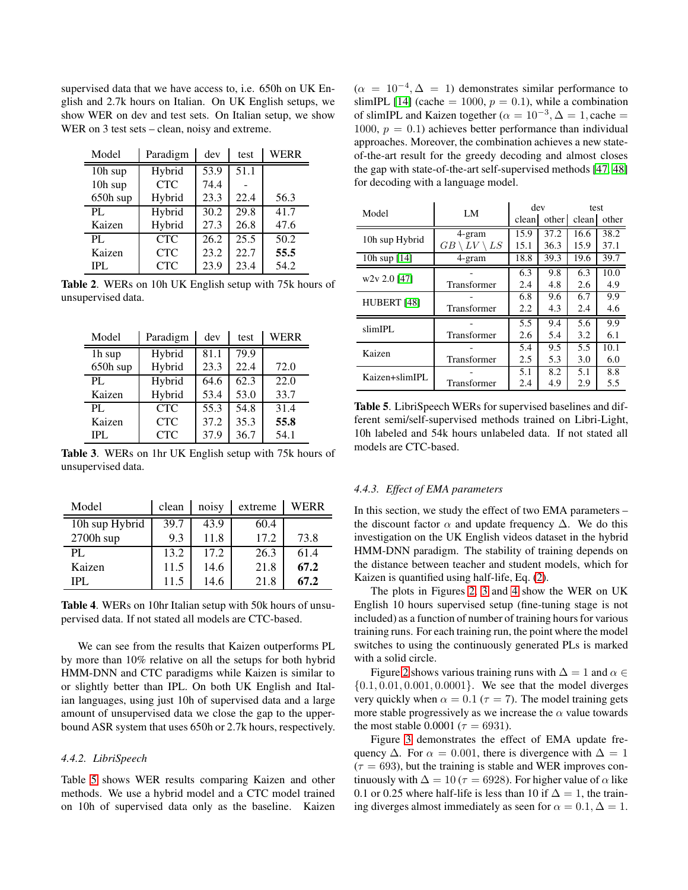supervised data that we have access to, i.e. 650h on UK English and 2.7k hours on Italian. On UK English setups, we show WER on dev and test sets. On Italian setup, we show WER on 3 test sets – clean, noisy and extreme.

| Model    | Paradigm   | dev  | test | WERR |
|----------|------------|------|------|------|
| 10h sup  | Hybrid     | 53.9 | 51.1 |      |
| 10h sup  | <b>CTC</b> | 74.4 |      |      |
| 650h sup | Hybrid     | 23.3 | 22.4 | 56.3 |
| PL.      | Hybrid     | 30.2 | 29.8 | 41.7 |
| Kaizen   | Hybrid     | 27.3 | 26.8 | 47.6 |
| PL.      | <b>CTC</b> | 26.2 | 25.5 | 50.2 |
| Kaizen   | <b>CTC</b> | 23.2 | 22.7 | 55.5 |
| IPL.     | <b>CTC</b> | 23.9 | 23.4 | 54.2 |

<span id="page-4-0"></span>Table 2. WERs on 10h UK English setup with 75k hours of unsupervised data.

| Model    | Paradigm   | dev  | test | <b>WERR</b> |
|----------|------------|------|------|-------------|
| 1h sup   | Hybrid     | 81.1 | 79.9 |             |
| 650h sup | Hybrid     | 23.3 | 22.4 | 72.0        |
| PL.      | Hybrid     | 64.6 | 62.3 | 22.0        |
| Kaizen   | Hybrid     | 53.4 | 53.0 | 33.7        |
| PI.      | <b>CTC</b> | 55.3 | 54.8 | 31.4        |
| Kaizen   | <b>CTC</b> | 37.2 | 35.3 | 55.8        |
| IPL.     | <b>CTC</b> | 37.9 | 36.7 | 54.1        |

<span id="page-4-2"></span>Table 3. WERs on 1hr UK English setup with 75k hours of unsupervised data.

| Model          | clean | noisy | extreme | WERR |
|----------------|-------|-------|---------|------|
| 10h sup Hybrid | 39.7  | 43.9  | 60.4    |      |
| $2700h$ sup    | 9.3   | 11.8  | 17.2    | 73.8 |
| PI.            | 13.2  | 17.2  | 26.3    | 61.4 |
| Kaizen         | 11.5  | 14.6  | 21.8    | 67.2 |
| IPL.           | 11.5  | 14.6  | 21.8    | 67.2 |

<span id="page-4-3"></span>Table 4. WERs on 10hr Italian setup with 50k hours of unsupervised data. If not stated all models are CTC-based.

We can see from the results that Kaizen outperforms PL by more than 10% relative on all the setups for both hybrid HMM-DNN and CTC paradigms while Kaizen is similar to or slightly better than IPL. On both UK English and Italian languages, using just 10h of supervised data and a large amount of unsupervised data we close the gap to the upperbound ASR system that uses 650h or 2.7k hours, respectively.

# *4.4.2. LibriSpeech*

Table [5](#page-4-1) shows WER results comparing Kaizen and other methods. We use a hybrid model and a CTC model trained on 10h of supervised data only as the baseline. Kaizen

 $(\alpha = 10^{-4}, \Delta = 1)$  demonstrates similar performance to slimIPL [\[14\]](#page-6-12) (cache = 1000,  $p = 0.1$ ), while a combination of slimIPL and Kaizen together ( $\alpha = 10^{-3}, \Delta = 1$ , cache = 1000,  $p = 0.1$ ) achieves better performance than individual approaches. Moreover, the combination achieves a new stateof-the-art result for the greedy decoding and almost closes the gap with state-of-the-art self-supervised methods [\[47,](#page-7-21) [48\]](#page-7-22) for decoding with a language model.

| Model          | LM                 | dev   |       | test  |       |
|----------------|--------------------|-------|-------|-------|-------|
|                |                    | clean | other | clean | other |
| 10h sup Hybrid | 4-gram             | 15.9  | 37.2  | 16.6  | 38.2  |
|                | $LV$ \<br>LS<br>GВ | 15.1  | 36.3  | 15.9  | 37.1  |
| 10h sup $[14]$ | 4-gram             | 18.8  | 39.3  | 19.6  | 39.7  |
| $w2v 2.0$ [47] |                    | 6.3   | 9.8   | 6.3   | 10.0  |
|                | Transformer        | 2.4   | 4.8   | 2.6   | 4.9   |
| HUBERT [48]    |                    | 6.8   | 9.6   | 6.7   | 9.9   |
|                | Transformer        | 2.2   | 4.3   | 2.4   | 4.6   |
| slimIPL        |                    | 5.5   | 9.4   | 5.6   | 9.9   |
|                | Transformer        | 2.6   | 5.4   | 3.2   | 6.1   |
| Kaizen         |                    | 5.4   | 9.5   | 5.5   | 10.1  |
|                | Transformer        | 2.5   | 5.3   | 3.0   | 6.0   |
| Kaizen+slimIPL |                    | 5.1   | 8.2   | 5.1   | 8.8   |
|                | Transformer        | 2.4   | 4.9   | 2.9   | 5.5   |

<span id="page-4-1"></span>Table 5. LibriSpeech WERs for supervised baselines and different semi/self-supervised methods trained on Libri-Light, 10h labeled and 54k hours unlabeled data. If not stated all models are CTC-based.

# *4.4.3. Effect of EMA parameters*

In this section, we study the effect of two EMA parameters – the discount factor  $\alpha$  and update frequency  $\Delta$ . We do this investigation on the UK English videos dataset in the hybrid HMM-DNN paradigm. The stability of training depends on the distance between teacher and student models, which for Kaizen is quantified using half-life, Eq. [\(2\)](#page-1-4).

The plots in Figures [2,](#page-5-2) [3](#page-5-3) and [4](#page-5-4) show the WER on UK English 10 hours supervised setup (fine-tuning stage is not included) as a function of number of training hours for various training runs. For each training run, the point where the model switches to using the continuously generated PLs is marked with a solid circle.

Figure [2](#page-5-2) shows various training runs with  $\Delta = 1$  and  $\alpha \in$ {0.1, 0.01, 0.001, 0.0001}. We see that the model diverges very quickly when  $\alpha = 0.1$  ( $\tau = 7$ ). The model training gets more stable progressively as we increase the  $\alpha$  value towards the most stable 0.0001 ( $\tau = 6931$ ).

Figure [3](#page-5-3) demonstrates the effect of EMA update frequency  $\Delta$ . For  $\alpha = 0.001$ , there is divergence with  $\Delta = 1$  $(\tau = 693)$ , but the training is stable and WER improves continuously with  $\Delta = 10 (\tau = 6928)$ . For higher value of  $\alpha$  like 0.1 or 0.25 where half-life is less than 10 if  $\Delta = 1$ , the training diverges almost immediately as seen for  $\alpha = 0.1, \Delta = 1$ .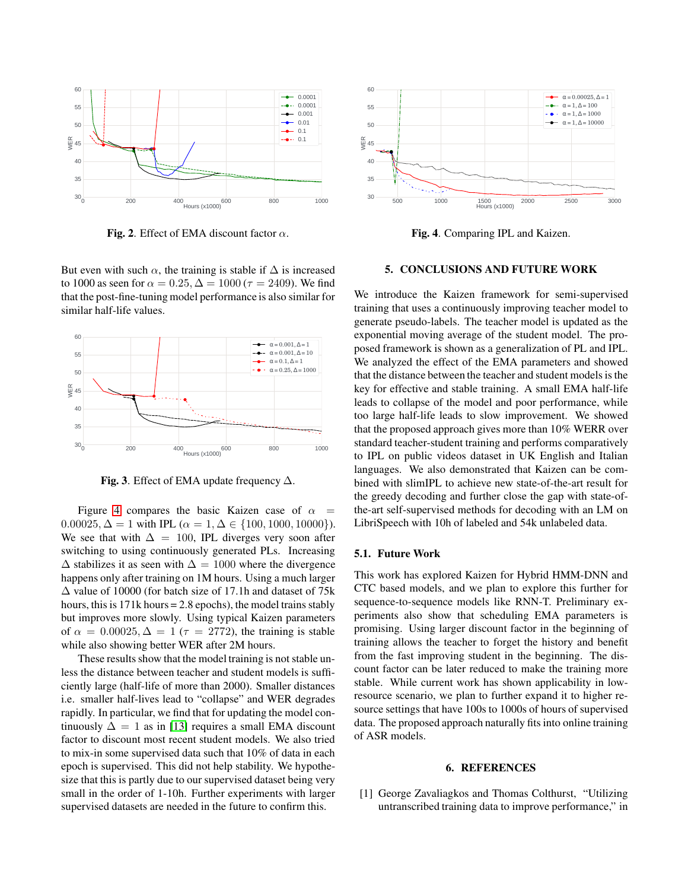

<span id="page-5-2"></span>Fig. 2. Effect of EMA discount factor  $\alpha$ .

But even with such  $\alpha$ , the training is stable if  $\Delta$  is increased to 1000 as seen for  $\alpha = 0.25, \Delta = 1000$  ( $\tau = 2409$ ). We find that the post-fine-tuning model performance is also similar for similar half-life values.



<span id="page-5-3"></span>Fig. 3. Effect of EMA update frequency  $\Delta$ .

Figure [4](#page-5-4) compares the basic Kaizen case of  $\alpha$ 0.00025,  $\Delta = 1$  with IPL ( $\alpha = 1, \Delta \in \{100, 1000, 10000\}$ ). We see that with  $\Delta = 100$ , IPL diverges very soon after switching to using continuously generated PLs. Increasing  $\Delta$  stabilizes it as seen with  $\Delta = 1000$  where the divergence happens only after training on 1M hours. Using a much larger ∆ value of 10000 (for batch size of 17.1h and dataset of 75k hours, this is 171k hours = 2.8 epochs), the model trains stably but improves more slowly. Using typical Kaizen parameters of  $\alpha = 0.00025$ ,  $\Delta = 1$  ( $\tau = 2772$ ), the training is stable while also showing better WER after 2M hours.

These results show that the model training is not stable unless the distance between teacher and student models is sufficiently large (half-life of more than 2000). Smaller distances i.e. smaller half-lives lead to "collapse" and WER degrades rapidly. In particular, we find that for updating the model continuously  $\Delta = 1$  as in [\[13\]](#page-6-11) requires a small EMA discount factor to discount most recent student models. We also tried to mix-in some supervised data such that 10% of data in each epoch is supervised. This did not help stability. We hypothesize that this is partly due to our supervised dataset being very small in the order of 1-10h. Further experiments with larger supervised datasets are needed in the future to confirm this.



<span id="page-5-4"></span>Fig. 4. Comparing IPL and Kaizen.

#### <span id="page-5-1"></span>5. CONCLUSIONS AND FUTURE WORK

We introduce the Kaizen framework for semi-supervised training that uses a continuously improving teacher model to generate pseudo-labels. The teacher model is updated as the exponential moving average of the student model. The proposed framework is shown as a generalization of PL and IPL. We analyzed the effect of the EMA parameters and showed that the distance between the teacher and student models is the key for effective and stable training. A small EMA half-life leads to collapse of the model and poor performance, while too large half-life leads to slow improvement. We showed that the proposed approach gives more than 10% WERR over standard teacher-student training and performs comparatively to IPL on public videos dataset in UK English and Italian languages. We also demonstrated that Kaizen can be combined with slimIPL to achieve new state-of-the-art result for the greedy decoding and further close the gap with state-ofthe-art self-supervised methods for decoding with an LM on LibriSpeech with 10h of labeled and 54k unlabeled data.

## 5.1. Future Work

This work has explored Kaizen for Hybrid HMM-DNN and CTC based models, and we plan to explore this further for sequence-to-sequence models like RNN-T. Preliminary experiments also show that scheduling EMA parameters is promising. Using larger discount factor in the beginning of training allows the teacher to forget the history and benefit from the fast improving student in the beginning. The discount factor can be later reduced to make the training more stable. While current work has shown applicability in lowresource scenario, we plan to further expand it to higher resource settings that have 100s to 1000s of hours of supervised data. The proposed approach naturally fits into online training of ASR models.

#### 6. REFERENCES

<span id="page-5-0"></span>[1] George Zavaliagkos and Thomas Colthurst, "Utilizing untranscribed training data to improve performance," in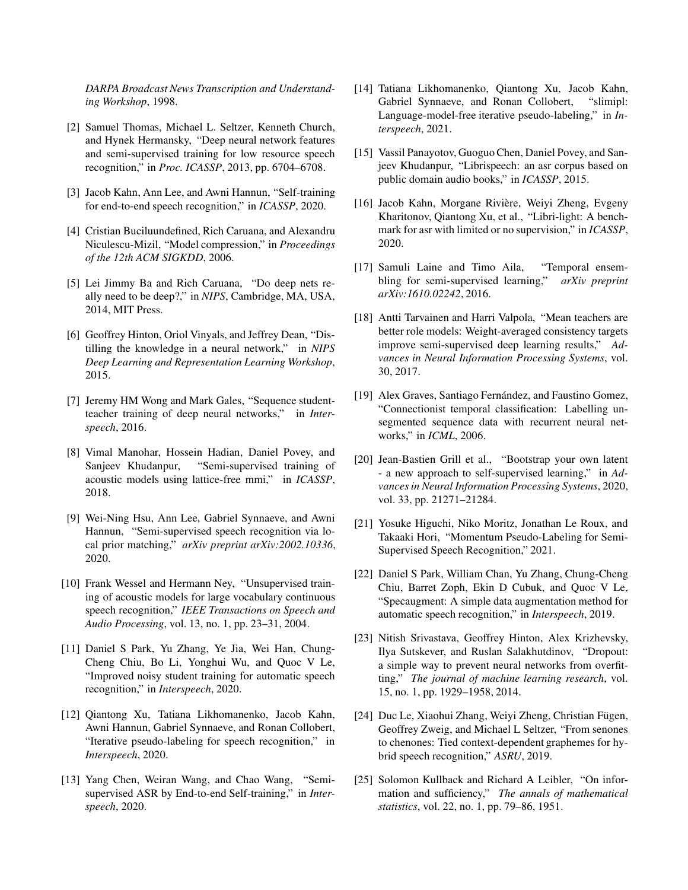*DARPA Broadcast News Transcription and Understanding Workshop*, 1998.

- <span id="page-6-0"></span>[2] Samuel Thomas, Michael L. Seltzer, Kenneth Church, and Hynek Hermansky, "Deep neural network features and semi-supervised training for low resource speech recognition," in *Proc. ICASSP*, 2013, pp. 6704–6708.
- <span id="page-6-2"></span><span id="page-6-1"></span>[3] Jacob Kahn, Ann Lee, and Awni Hannun, "Self-training for end-to-end speech recognition," in *ICASSP*, 2020.
- [4] Cristian Buciluundefined, Rich Caruana, and Alexandru Niculescu-Mizil, "Model compression," in *Proceedings of the 12th ACM SIGKDD*, 2006.
- <span id="page-6-3"></span>[5] Lei Jimmy Ba and Rich Caruana, "Do deep nets really need to be deep?," in *NIPS*, Cambridge, MA, USA, 2014, MIT Press.
- <span id="page-6-4"></span>[6] Geoffrey Hinton, Oriol Vinyals, and Jeffrey Dean, "Distilling the knowledge in a neural network," in *NIPS Deep Learning and Representation Learning Workshop*, 2015.
- <span id="page-6-5"></span>[7] Jeremy HM Wong and Mark Gales, "Sequence studentteacher training of deep neural networks," in *Interspeech*, 2016.
- <span id="page-6-6"></span>[8] Vimal Manohar, Hossein Hadian, Daniel Povey, and Sanjeev Khudanpur, "Semi-supervised training of acoustic models using lattice-free mmi," in *ICASSP*, 2018.
- <span id="page-6-7"></span>[9] Wei-Ning Hsu, Ann Lee, Gabriel Synnaeve, and Awni Hannun, "Semi-supervised speech recognition via local prior matching," *arXiv preprint arXiv:2002.10336*, 2020.
- <span id="page-6-8"></span>[10] Frank Wessel and Hermann Ney, "Unsupervised training of acoustic models for large vocabulary continuous speech recognition," *IEEE Transactions on Speech and Audio Processing*, vol. 13, no. 1, pp. 23–31, 2004.
- <span id="page-6-9"></span>[11] Daniel S Park, Yu Zhang, Ye Jia, Wei Han, Chung-Cheng Chiu, Bo Li, Yonghui Wu, and Quoc V Le, "Improved noisy student training for automatic speech recognition," in *Interspeech*, 2020.
- <span id="page-6-10"></span>[12] Qiantong Xu, Tatiana Likhomanenko, Jacob Kahn, Awni Hannun, Gabriel Synnaeve, and Ronan Collobert, "Iterative pseudo-labeling for speech recognition," in *Interspeech*, 2020.
- <span id="page-6-11"></span>[13] Yang Chen, Weiran Wang, and Chao Wang, "Semisupervised ASR by End-to-end Self-training," in *Interspeech*, 2020.
- <span id="page-6-12"></span>[14] Tatiana Likhomanenko, Qiantong Xu, Jacob Kahn, Gabriel Synnaeve, and Ronan Collobert, "slimipl: Language-model-free iterative pseudo-labeling," in *Interspeech*, 2021.
- <span id="page-6-13"></span>[15] Vassil Panayotov, Guoguo Chen, Daniel Povey, and Sanjeev Khudanpur, "Librispeech: an asr corpus based on public domain audio books," in *ICASSP*, 2015.
- <span id="page-6-14"></span>[16] Jacob Kahn, Morgane Rivière, Weiyi Zheng, Evgeny Kharitonov, Qiantong Xu, et al., "Libri-light: A benchmark for asr with limited or no supervision," in *ICASSP*, 2020.
- <span id="page-6-15"></span>[17] Samuli Laine and Timo Aila, "Temporal ensembling for semi-supervised learning," *arXiv preprint arXiv:1610.02242*, 2016.
- <span id="page-6-16"></span>[18] Antti Tarvainen and Harri Valpola, "Mean teachers are better role models: Weight-averaged consistency targets improve semi-supervised deep learning results," *Advances in Neural Information Processing Systems*, vol. 30, 2017.
- <span id="page-6-17"></span>[19] Alex Graves, Santiago Fernández, and Faustino Gomez, "Connectionist temporal classification: Labelling unsegmented sequence data with recurrent neural networks," in *ICML*, 2006.
- <span id="page-6-18"></span>[20] Jean-Bastien Grill et al., "Bootstrap your own latent - a new approach to self-supervised learning," in *Advances in Neural Information Processing Systems*, 2020, vol. 33, pp. 21271–21284.
- <span id="page-6-19"></span>[21] Yosuke Higuchi, Niko Moritz, Jonathan Le Roux, and Takaaki Hori, "Momentum Pseudo-Labeling for Semi-Supervised Speech Recognition," 2021.
- <span id="page-6-20"></span>[22] Daniel S Park, William Chan, Yu Zhang, Chung-Cheng Chiu, Barret Zoph, Ekin D Cubuk, and Quoc V Le, "Specaugment: A simple data augmentation method for automatic speech recognition," in *Interspeech*, 2019.
- <span id="page-6-21"></span>[23] Nitish Srivastava, Geoffrey Hinton, Alex Krizhevsky, Ilya Sutskever, and Ruslan Salakhutdinov, "Dropout: a simple way to prevent neural networks from overfitting," *The journal of machine learning research*, vol. 15, no. 1, pp. 1929–1958, 2014.
- <span id="page-6-22"></span>[24] Duc Le, Xiaohui Zhang, Weiyi Zheng, Christian Fügen, Geoffrey Zweig, and Michael L Seltzer, "From senones to chenones: Tied context-dependent graphemes for hybrid speech recognition," *ASRU*, 2019.
- <span id="page-6-23"></span>[25] Solomon Kullback and Richard A Leibler, "On information and sufficiency," *The annals of mathematical statistics*, vol. 22, no. 1, pp. 79–86, 1951.